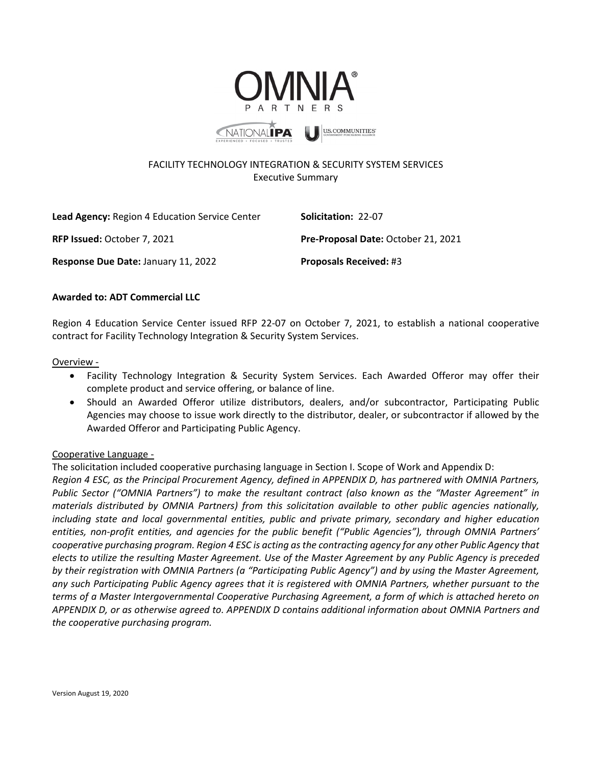



**U.S. COMMUNITIES** 

# FACILITY TECHNOLOGY INTEGRATION & SECURITY SYSTEM SERVICES Executive Summary

Lead Agency: Region 4 Education Service Center **Solicitation:** 22-07 **RFP Issued:** October 7, 2021 **Pre-Proposal Date:** October 21, 2021 **Response Due Date:** January 11, 2022 **Proposals Received:** #3

# **Awarded to: ADT Commercial LLC**

Region 4 Education Service Center issued RFP 22-07 on October 7, 2021, to establish a national cooperative contract for Facility Technology Integration & Security System Services.

#### Overview -

- Facility Technology Integration & Security System Services. Each Awarded Offeror may offer their complete product and service offering, or balance of line.
- Should an Awarded Offeror utilize distributors, dealers, and/or subcontractor, Participating Public Agencies may choose to issue work directly to the distributor, dealer, or subcontractor if allowed by the Awarded Offeror and Participating Public Agency.

## Cooperative Language -

The solicitation included cooperative purchasing language in Section I. Scope of Work and Appendix D: *Region 4 ESC, as the Principal Procurement Agency, defined in APPENDIX D, has partnered with OMNIA Partners, Public Sector ("OMNIA Partners") to make the resultant contract (also known as the "Master Agreement" in materials distributed by OMNIA Partners) from this solicitation available to other public agencies nationally, including state and local governmental entities, public and private primary, secondary and higher education entities, non-profit entities, and agencies for the public benefit ("Public Agencies"), through OMNIA Partners' cooperative purchasing program. Region 4 ESC is acting as the contracting agency for any other Public Agency that elects to utilize the resulting Master Agreement. Use of the Master Agreement by any Public Agency is preceded by their registration with OMNIA Partners (a "Participating Public Agency") and by using the Master Agreement, any such Participating Public Agency agrees that it is registered with OMNIA Partners, whether pursuant to the terms of a Master Intergovernmental Cooperative Purchasing Agreement, a form of which is attached hereto on APPENDIX D, or as otherwise agreed to. APPENDIX D contains additional information about OMNIA Partners and the cooperative purchasing program.*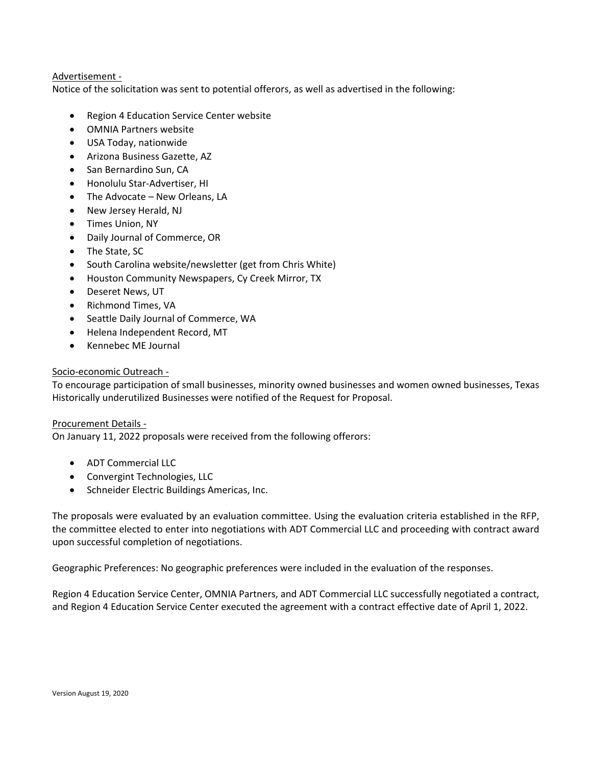## Advertisement -

Notice of the solicitation was sent to potential offerors, as well as advertised in the following:

- Region 4 Education Service Center website
- OMNIA Partners website
- USA Today, nationwide
- Arizona Business Gazette, AZ
- San Bernardino Sun, CA
- Honolulu Star-Advertiser, HI
- The Advocate New Orleans, LA
- New Jersey Herald, NJ
- Times Union, NY
- Daily Journal of Commerce, OR
- The State, SC
- South Carolina website/newsletter (get from Chris White)
- Houston Community Newspapers, Cy Creek Mirror, TX
- Deseret News, UT
- Richmond Times, VA
- Seattle Daily Journal of Commerce, WA
- Helena Independent Record, MT
- Kennebec ME Journal

#### Socio-economic Outreach -

To encourage participation of small businesses, minority owned businesses and women owned businesses, Texas Historically underutilized Businesses were notified of the Request for Proposal.

Procurement Details -

On January 11, 2022 proposals were received from the following offerors:

- ADT Commercial LLC
- Convergint Technologies, LLC
- Schneider Electric Buildings Americas, Inc.

The proposals were evaluated by an evaluation committee. Using the evaluation criteria established in the RFP, the committee elected to enter into negotiations with ADT Commercial LLC and proceeding with contract award upon successful completion of negotiations.

Geographic Preferences: No geographic preferences were included in the evaluation of the responses.

Region 4 Education Service Center, OMNIA Partners, and ADT Commercial LLC successfully negotiated a contract, and Region 4 Education Service Center executed the agreement with a contract effective date of April 1, 2022.